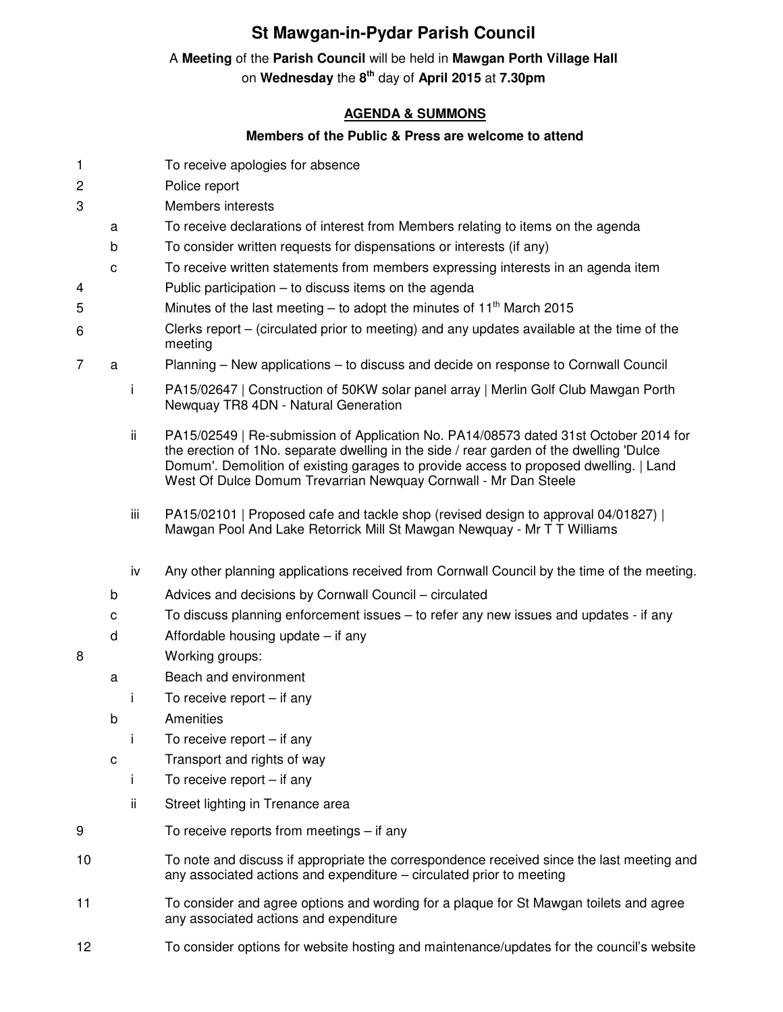## **St Mawgan-in-Pydar Parish Council**

## A **Meeting** of the **Parish Council** will be held in **Mawgan Porth Village Hall**

on **Wednesday** the **8 th** day of **April 2015** at **7.30pm** 

## **AGENDA & SUMMONS**

## **Members of the Public & Press are welcome to attend**

- 1 To receive apologies for absence
- 2 Police report
- 3 Members interests
	- a To receive declarations of interest from Members relating to items on the agenda
	- b To consider written requests for dispensations or interests (if any)
	- c To receive written statements from members expressing interests in an agenda item
- 4 Public participation to discuss items on the agenda
- 5 Minutes of the last meeting to adopt the minutes of  $11<sup>th</sup>$  March 2015
- 6 Clerks report – (circulated prior to meeting) and any updates available at the time of the meeting
- 7 a Planning New applications to discuss and decide on response to Cornwall Council
	- i PA15/02647 | Construction of 50KW solar panel array | Merlin Golf Club Mawgan Porth Newquay TR8 4DN - Natural Generation
	- ii PA15/02549 | Re-submission of Application No. PA14/08573 dated 31st October 2014 for the erection of 1No. separate dwelling in the side / rear garden of the dwelling 'Dulce Domum'. Demolition of existing garages to provide access to proposed dwelling. | Land West Of Dulce Domum Trevarrian Newquay Cornwall - Mr Dan Steele
	- iii PA15/02101 | Proposed cafe and tackle shop (revised design to approval 04/01827) | Mawgan Pool And Lake Retorrick Mill St Mawgan Newquay - Mr T T Williams
	- iv Any other planning applications received from Cornwall Council by the time of the meeting.
	- b Advices and decisions by Cornwall Council circulated
	- c To discuss planning enforcement issues to refer any new issues and updates if any
	- d Affordable housing update if any
- 8 Working groups:
	- a Beach and environment
		- i To receive report if any
	- b Amenities
		- i To receive report if any
	- c Transport and rights of way
		- i To receive report if any
		- ii Street lighting in Trenance area
- 9 To receive reports from meetings if any
- 10 To note and discuss if appropriate the correspondence received since the last meeting and any associated actions and expenditure – circulated prior to meeting
- 11 To consider and agree options and wording for a plaque for St Mawgan toilets and agree any associated actions and expenditure
- 12 To consider options for website hosting and maintenance/updates for the council's website